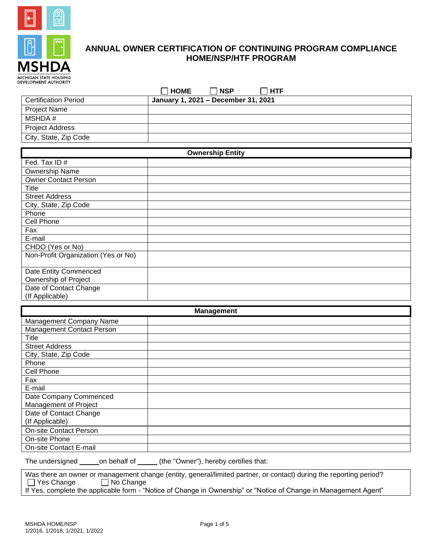

# **ANNUAL OWNER CERTIFICATION OF CONTINUING PROGRAM COMPLIANCE HOME/NSP/HTF PROGRAM**

| <b>HOME</b> | <b>NSP</b> | ╌ |
|-------------|------------|---|
|             |            |   |

| <b>Certification Period</b> | January 1, 2021 – December 31, 2021 |
|-----------------------------|-------------------------------------|
| <b>Project Name</b>         |                                     |
| MSHDA #                     |                                     |
| <b>Project Address</b>      |                                     |
| City, State, Zip Code       |                                     |

| <b>Ownership Entity</b>             |  |  |
|-------------------------------------|--|--|
| Fed. Tax ID#                        |  |  |
| Ownership Name                      |  |  |
| <b>Owner Contact Person</b>         |  |  |
| Title                               |  |  |
| <b>Street Address</b>               |  |  |
| City, State, Zip Code               |  |  |
| Phone                               |  |  |
| Cell Phone                          |  |  |
| Fax                                 |  |  |
| E-mail                              |  |  |
| CHDO (Yes or No)                    |  |  |
| Non-Profit Organization (Yes or No) |  |  |
| Date Entity Commenced               |  |  |
| Ownership of Project                |  |  |
| Date of Contact Change              |  |  |
| (If Applicable)                     |  |  |

| <b>Management</b>                |  |  |
|----------------------------------|--|--|
| Management Company Name          |  |  |
| <b>Management Contact Person</b> |  |  |
| Title                            |  |  |
| <b>Street Address</b>            |  |  |
| City, State, Zip Code            |  |  |
| Phone                            |  |  |
| Cell Phone                       |  |  |
| Fax                              |  |  |
| E-mail                           |  |  |
| Date Company Commenced           |  |  |
| Management of Project            |  |  |
| Date of Contact Change           |  |  |
| (If Applicable)                  |  |  |
| <b>On-site Contact Person</b>    |  |  |
| On-site Phone                    |  |  |
| On-site Contact E-mail           |  |  |

The undersigned \_\_\_\_\_\_on behalf of \_\_\_\_\_ (the "Owner"), hereby certifies that:

Was there an owner or management change (entity, general/limited partner, or contact) during the reporting period?  $\Box$  Yes Change  $\Box$  No Change

If Yes, complete the applicable form - "Notice of Change in Ownership" or "Notice of Change in Management Agent"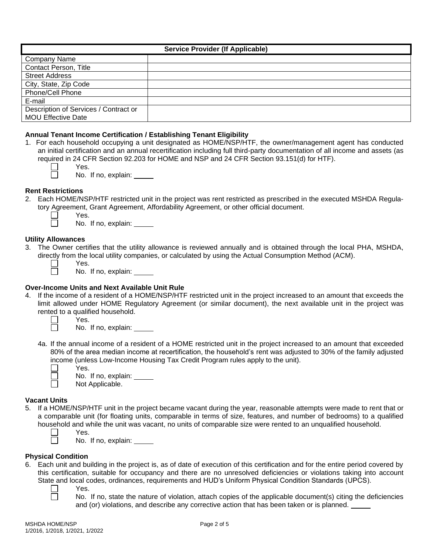| <b>Service Provider (If Applicable)</b> |  |  |
|-----------------------------------------|--|--|
| <b>Company Name</b>                     |  |  |
| <b>Contact Person, Title</b>            |  |  |
| <b>Street Address</b>                   |  |  |
| City, State, Zip Code                   |  |  |
| Phone/Cell Phone                        |  |  |
| E-mail                                  |  |  |
| Description of Services / Contract or   |  |  |
| <b>MOU Effective Date</b>               |  |  |

## **Annual Tenant Income Certification / Establishing Tenant Eligibility**

- 1. For each household occupying a unit designated as HOME/NSP/HTF, the owner/management agent has conducted an initial certification and an annual recertification including full third-party documentation of all income and assets (as required in 24 CFR Section 92.203 for HOME and NSP and 24 CFR Section 93.151(d) for HTF).
	-
- Yes. No. If no, explain:

#### **Rent Restrictions**

- 2. Each HOME/NSP/HTF restricted unit in the project was rent restricted as prescribed in the executed MSHDA Regulatory Agreement, Grant Agreement, Affordability Agreement, or other official document.
	- Yes.

No. If no, explain:

#### **Utility Allowances**

- 3. The Owner certifies that the utility allowance is reviewed annually and is obtained through the local PHA, MSHDA, directly from the local utility companies, or calculated by using the Actual Consumption Method (ACM).
	-

Yes.

Yes.

No. If no, explain:

#### **Over-Income Units and Next Available Unit Rule**

- 4. If the income of a resident of a HOME/NSP/HTF restricted unit in the project increased to an amount that exceeds the limit allowed under HOME Regulatory Agreement (or similar document), the next available unit in the project was rented to a qualified household.
	- П

П

No. If no, explain:

- 4a. If the annual income of a resident of a HOME restricted unit in the project increased to an amount that exceeded 80% of the area median income at recertification, the household's rent was adjusted to 30% of the family adjusted income (unless Low-Income Housing Tax Credit Program rules apply to the unit). П
	- Yes.

No. If no, explain:

Not Applicable.

#### **Vacant Units**

- 5. If a HOME/NSP/HTF unit in the project became vacant during the year, reasonable attempts were made to rent that or a comparable unit (for floating units, comparable in terms of size, features, and number of bedrooms) to a qualified household and while the unit was vacant, no units of comparable size were rented to an unqualified household.
	- Yes.

No. If no, explain:

#### **Physical Condition**

 $\Box$ 

- 6. Each unit and building in the project is, as of date of execution of this certification and for the entire period covered by this certification, suitable for occupancy and there are no unresolved deficiencies or violations taking into account State and local codes, ordinances, requirements and HUD's Uniform Physical Condition Standards (UPCS).
	- Yes.

No. If no, state the nature of violation, attach copies of the applicable document(s) citing the deficiencies and (or) violations, and describe any corrective action that has been taken or is planned.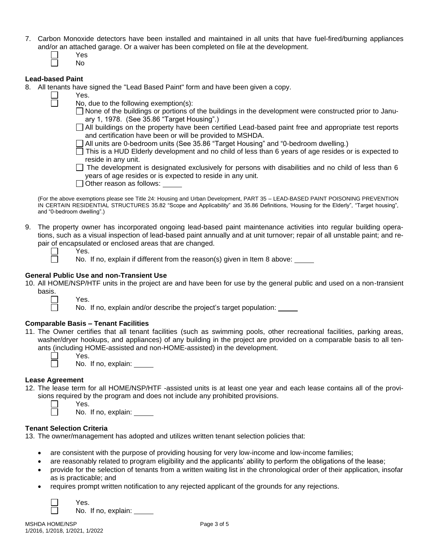- 7. Carbon Monoxide detectors have been installed and maintained in all units that have fuel-fired/burning appliances and/or an attached garage. Or a waiver has been completed on file at the development.
	- Yes No

Yes.

## **Lead-based Paint**

- 8. All tenants have signed the "Lead Based Paint" form and have been given a copy.
- - No, due to the following exemption(s):
		- None of the buildings or portions of the buildings in the development were constructed prior to January 1, 1978. (See 35.86 "Target Housing".)
		- All buildings on the property have been certified Lead-based paint free and appropriate test reports and certification have been or will be provided to MSHDA.
		- All units are 0-bedroom units (See 35.86 "Target Housing" and "0-bedroom dwelling*.*)
		- $\overline{\Box}$  This is a HUD Elderly development and no child of less than 6 years of age resides or is expected to reside in any unit.
		- $\Box$  The development is designated exclusively for persons with disabilities and no child of less than 6 years of age resides or is expected to reside in any unit.

 $\Box$  Other reason as follows:

(For the above exemptions please see Title 24: Housing and Urban Development, PART 35 – LEAD-BASED PAINT POISONING PREVENTION IN CERTAIN RESIDENTIAL STRUCTURES 35.82 "Scope and Applicability" and 35.86 Definitions, 'Housing for the Elderly", "Target housing", and "0-bedroom dwelling".)

9. The property owner has incorporated ongoing lead-based paint maintenance activities into regular building operations, such as a visual inspection of lead-based paint annually and at unit turnover; repair of all unstable paint; and repair of encapsulated or enclosed areas that are changed.

No. If no, explain if different from the reason(s) given in Item 8 above:

## **General Public Use and non-Transient Use**

10. All HOME/NSP/HTF units in the project are and have been for use by the general public and used on a non-transient basis.



No. If no, explain and/or describe the project's target population:

## **Comparable Basis – Tenant Facilities**

Yes.

Yes.

11. The Owner certifies that all tenant facilities (such as swimming pools, other recreational facilities, parking areas, washer/dryer hookups, and appliances) of any building in the project are provided on a comparable basis to all tenants (including HOME-assisted and non-HOME-assisted) in the development.



Yes. No. If no, explain:

#### **Lease Agreement**

12. The lease term for all HOME/NSP/HTF -assisted units is at least one year and each lease contains all of the provisions required by the program and does not include any prohibited provisions.



Yes.

Yes.

No. If no, explain:

#### **Tenant Selection Criteria**

13. The owner/management has adopted and utilizes written tenant selection policies that:

- are consistent with the purpose of providing housing for very low-income and low-income families;
- are reasonably related to program eligibility and the applicants' ability to perform the obligations of the lease;
- provide for the selection of tenants from a written waiting list in the chronological order of their application, insofar as is practicable; and
- requires prompt written notification to any rejected applicant of the grounds for any rejections.



No. If no, explain: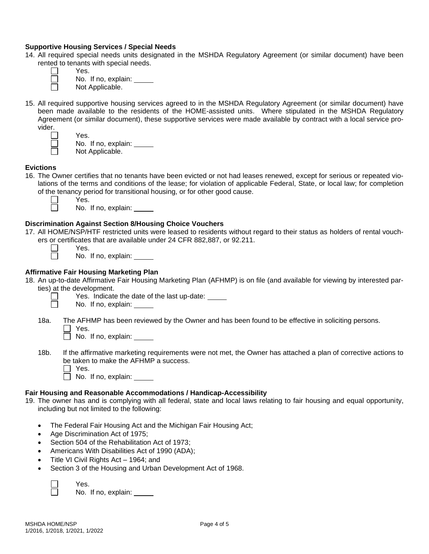## **Supportive Housing Services / Special Needs**

14. All required special needs units designated in the MSHDA Regulatory Agreement (or similar document) have been rented to tenants with special needs.

Yes. No. If no, explain: Not Applicable.

15. All required supportive housing services agreed to in the MSHDA Regulatory Agreement (or similar document) have been made available to the residents of the HOME-assisted units. Where stipulated in the MSHDA Regulatory Agreement (or similar document), these supportive services were made available by contract with a local service provider.

 $\Box$  $\Box$ 

 $\Box$ П

Yes. No. If no, explain: Not Applicable.

# **Evictions**

- 16. The Owner certifies that no tenants have been evicted or not had leases renewed, except for serious or repeated violations of the terms and conditions of the lease; for violation of applicable Federal, State, or local law; for completion of the tenancy period for transitional housing, or for other good cause.
	-

Yes.

No. If no, explain:

# **Discrimination Against Section 8/Housing Choice Vouchers**

17. All HOME/NSP/HTF restricted units were leased to residents without regard to their status as holders of rental vouchers or certificates that are available under 24 CFR 882,887, or 92.211.

| <u>uuruuduu</u> |
|-----------------|
| Yes.            |

No. If no, explain:

## **Affirmative Fair Housing Marketing Plan**

- 18. An up-to-date Affirmative Fair Housing Marketing Plan (AFHMP) is on file (and available for viewing by interested parties) at the development.
	- Yes. Indicate the date of the last up-date:

No. If no, explain:

- 18a. The AFHMP has been reviewed by the Owner and has been found to be effective in soliciting persons.
	- $\Box$  Yes.

 $\Box$  No. If no, explain:

- 18b. If the affirmative marketing requirements were not met, the Owner has attached a plan of corrective actions to be taken to make the AFHMP a success.
	- $\Box$  Yes.

No. If no, explain: \_\_\_\_\_

#### **Fair Housing and Reasonable Accommodations / Handicap-Accessibility**

- 19. The owner has and is complying with all federal, state and local laws relating to fair housing and equal opportunity, including but not limited to the following:
	- The Federal Fair Housing Act and the Michigan Fair Housing Act;
	- Age Discrimination Act of 1975;
	- Section 504 of the Rehabilitation Act of 1973;
	- Americans With Disabilities Act of 1990 (ADA);
	- Title VI Civil Rights Act 1964; and
	- Section 3 of the Housing and Urban Development Act of 1968.



Yes.

No. If no, explain: